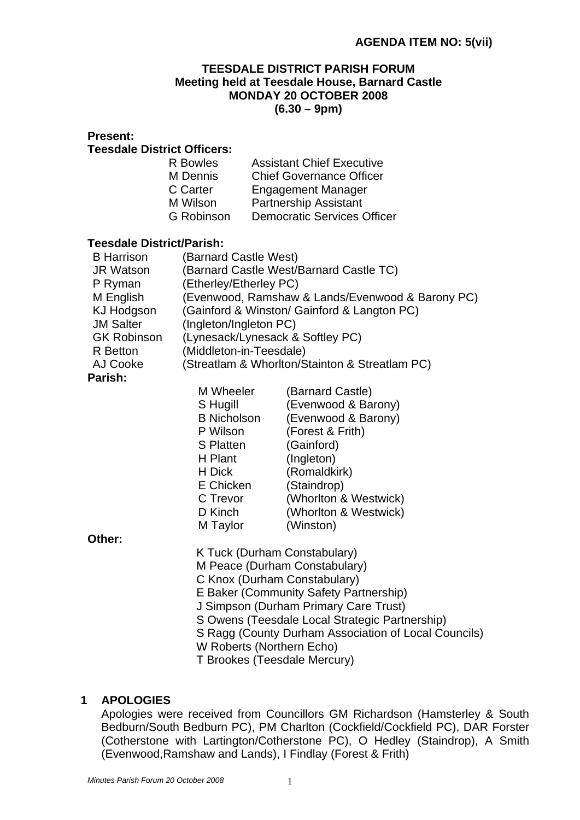#### **TEESDALE DISTRICT PARISH FORUM Meeting held at Teesdale House, Barnard Castle MONDAY 20 OCTOBER 2008 (6.30 – 9pm)**

| гтеэент.                           |                                                                                                                                   |                                                               |  |  |
|------------------------------------|-----------------------------------------------------------------------------------------------------------------------------------|---------------------------------------------------------------|--|--|
| <b>Teesdale District Officers:</b> |                                                                                                                                   |                                                               |  |  |
|                                    | <b>R</b> Bowles                                                                                                                   | <b>Assistant Chief Executive</b>                              |  |  |
|                                    | M Dennis                                                                                                                          | <b>Chief Governance Officer</b>                               |  |  |
|                                    | C Carter                                                                                                                          | <b>Engagement Manager</b>                                     |  |  |
|                                    | M Wilson                                                                                                                          | <b>Partnership Assistant</b>                                  |  |  |
|                                    | <b>G</b> Robinson                                                                                                                 | <b>Democratic Services Officer</b>                            |  |  |
|                                    |                                                                                                                                   |                                                               |  |  |
| <b>Teesdale District/Parish:</b>   |                                                                                                                                   |                                                               |  |  |
| <b>B</b> Harrison                  |                                                                                                                                   | (Barnard Castle West)                                         |  |  |
| <b>JR Watson</b>                   |                                                                                                                                   | (Barnard Castle West/Barnard Castle TC)                       |  |  |
| P Ryman                            |                                                                                                                                   | (Etherley/Etherley PC)                                        |  |  |
| M English                          | (Evenwood, Ramshaw & Lands/Evenwood & Barony PC)                                                                                  |                                                               |  |  |
| <b>KJ Hodgson</b>                  | (Gainford & Winston/ Gainford & Langton PC)                                                                                       |                                                               |  |  |
| <b>JM Salter</b>                   | (Ingleton/Ingleton PC)                                                                                                            |                                                               |  |  |
| <b>GK Robinson</b>                 | (Lynesack/Lynesack & Softley PC)                                                                                                  |                                                               |  |  |
| R Betton                           |                                                                                                                                   | (Middleton-in-Teesdale)                                       |  |  |
| AJ Cooke                           |                                                                                                                                   | (Streatlam & Whorlton/Stainton & Streatlam PC)                |  |  |
| Parish:                            |                                                                                                                                   |                                                               |  |  |
|                                    | M Wheeler                                                                                                                         | (Barnard Castle)                                              |  |  |
|                                    | S Hugill                                                                                                                          | (Evenwood & Barony)                                           |  |  |
|                                    | <b>B</b> Nicholson                                                                                                                | (Evenwood & Barony)                                           |  |  |
|                                    | P Wilson                                                                                                                          | (Forest & Frith)                                              |  |  |
|                                    | S Platten                                                                                                                         | (Gainford)                                                    |  |  |
|                                    | H Plant                                                                                                                           | (Ingleton)                                                    |  |  |
|                                    | H Dick                                                                                                                            | (Romaldkirk)                                                  |  |  |
|                                    | E Chicken                                                                                                                         | (Staindrop)                                                   |  |  |
|                                    | C Trevor                                                                                                                          | (Whorlton & Westwick)                                         |  |  |
|                                    | D Kinch                                                                                                                           | (Whorlton & Westwick)                                         |  |  |
|                                    | M Taylor                                                                                                                          | (Winston)                                                     |  |  |
| Other:                             |                                                                                                                                   |                                                               |  |  |
|                                    | K Tuck (Durham Constabulary)                                                                                                      |                                                               |  |  |
|                                    |                                                                                                                                   | M Peace (Durham Constabulary)<br>C Knox (Durham Constabulary) |  |  |
|                                    |                                                                                                                                   |                                                               |  |  |
|                                    | E Baker (Community Safety Partnership)<br>J Simpson (Durham Primary Care Trust)<br>S Owens (Teesdale Local Strategic Partnership) |                                                               |  |  |
|                                    |                                                                                                                                   |                                                               |  |  |
|                                    |                                                                                                                                   |                                                               |  |  |
|                                    |                                                                                                                                   | S Ragg (County Durham Association of Local Councils)          |  |  |

# W Roberts (Northern Echo)

# T Brookes (Teesdale Mercury)

#### **1 APOLOGIES**

**Present:**

Apologies were received from Councillors GM Richardson (Hamsterley & South Bedburn/South Bedburn PC), PM Charlton (Cockfield/Cockfield PC), DAR Forster (Cotherstone with Lartington/Cotherstone PC), O Hedley (Staindrop), A Smith (Evenwood,Ramshaw and Lands), I Findlay (Forest & Frith)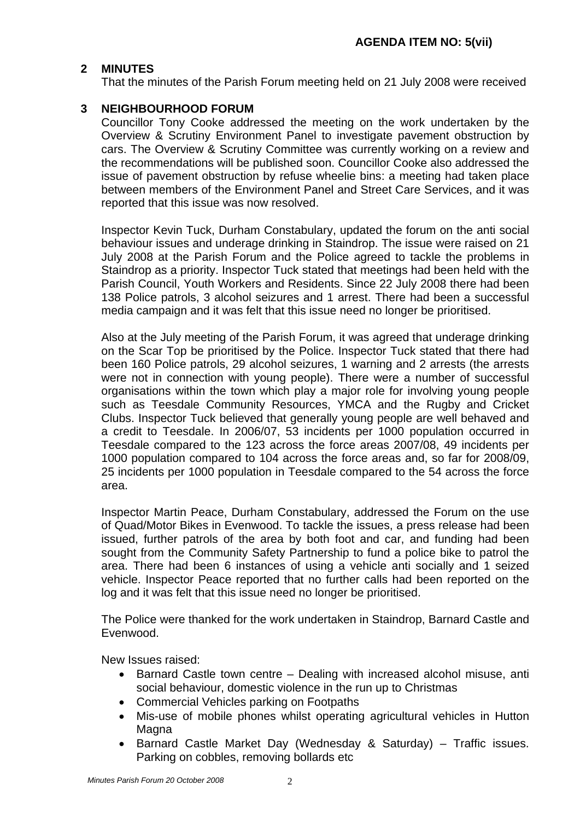#### **2 MINUTES**

That the minutes of the Parish Forum meeting held on 21 July 2008 were received

#### **3 NEIGHBOURHOOD FORUM**

Councillor Tony Cooke addressed the meeting on the work undertaken by the Overview & Scrutiny Environment Panel to investigate pavement obstruction by cars. The Overview & Scrutiny Committee was currently working on a review and the recommendations will be published soon. Councillor Cooke also addressed the issue of pavement obstruction by refuse wheelie bins: a meeting had taken place between members of the Environment Panel and Street Care Services, and it was reported that this issue was now resolved.

 Inspector Kevin Tuck, Durham Constabulary, updated the forum on the anti social behaviour issues and underage drinking in Staindrop. The issue were raised on 21 July 2008 at the Parish Forum and the Police agreed to tackle the problems in Staindrop as a priority. Inspector Tuck stated that meetings had been held with the Parish Council, Youth Workers and Residents. Since 22 July 2008 there had been 138 Police patrols, 3 alcohol seizures and 1 arrest. There had been a successful media campaign and it was felt that this issue need no longer be prioritised.

 Also at the July meeting of the Parish Forum, it was agreed that underage drinking on the Scar Top be prioritised by the Police. Inspector Tuck stated that there had been 160 Police patrols, 29 alcohol seizures, 1 warning and 2 arrests (the arrests were not in connection with young people). There were a number of successful organisations within the town which play a major role for involving young people such as Teesdale Community Resources, YMCA and the Rugby and Cricket Clubs. Inspector Tuck believed that generally young people are well behaved and a credit to Teesdale. In 2006/07, 53 incidents per 1000 population occurred in Teesdale compared to the 123 across the force areas 2007/08, 49 incidents per 1000 population compared to 104 across the force areas and, so far for 2008/09, 25 incidents per 1000 population in Teesdale compared to the 54 across the force area.

 Inspector Martin Peace, Durham Constabulary, addressed the Forum on the use of Quad/Motor Bikes in Evenwood. To tackle the issues, a press release had been issued, further patrols of the area by both foot and car, and funding had been sought from the Community Safety Partnership to fund a police bike to patrol the area. There had been 6 instances of using a vehicle anti socially and 1 seized vehicle. Inspector Peace reported that no further calls had been reported on the log and it was felt that this issue need no longer be prioritised.

 The Police were thanked for the work undertaken in Staindrop, Barnard Castle and Evenwood.

New Issues raised:

- Barnard Castle town centre Dealing with increased alcohol misuse, anti social behaviour, domestic violence in the run up to Christmas
- Commercial Vehicles parking on Footpaths
- Mis-use of mobile phones whilst operating agricultural vehicles in Hutton Magna
- Barnard Castle Market Day (Wednesday & Saturday) Traffic issues. Parking on cobbles, removing bollards etc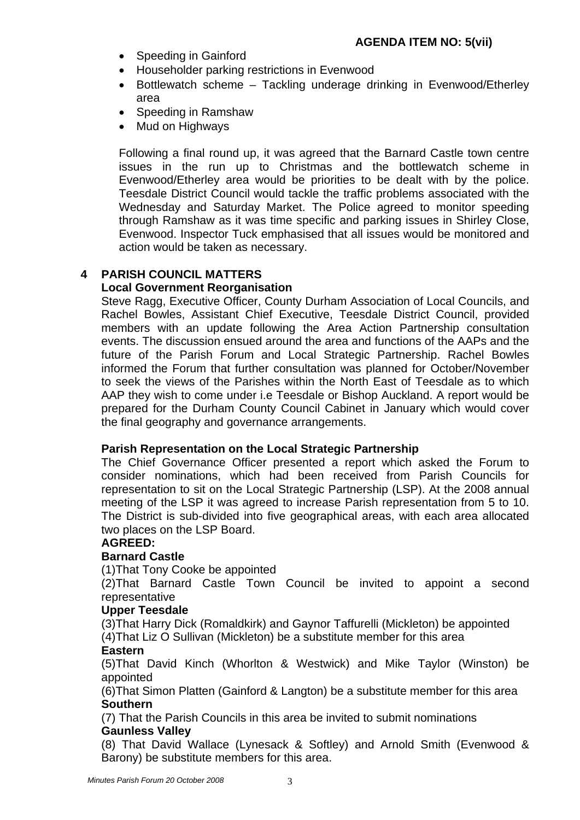- Speeding in Gainford
- Householder parking restrictions in Evenwood
- Bottlewatch scheme Tackling underage drinking in Evenwood/Etherley area
- Speeding in Ramshaw
- Mud on Highways

Following a final round up, it was agreed that the Barnard Castle town centre issues in the run up to Christmas and the bottlewatch scheme in Evenwood/Etherley area would be priorities to be dealt with by the police. Teesdale District Council would tackle the traffic problems associated with the Wednesday and Saturday Market. The Police agreed to monitor speeding through Ramshaw as it was time specific and parking issues in Shirley Close, Evenwood. Inspector Tuck emphasised that all issues would be monitored and action would be taken as necessary.

# **4 PARISH COUNCIL MATTERS**

## **Local Government Reorganisation**

Steve Ragg, Executive Officer, County Durham Association of Local Councils, and Rachel Bowles, Assistant Chief Executive, Teesdale District Council, provided members with an update following the Area Action Partnership consultation events. The discussion ensued around the area and functions of the AAPs and the future of the Parish Forum and Local Strategic Partnership. Rachel Bowles informed the Forum that further consultation was planned for October/November to seek the views of the Parishes within the North East of Teesdale as to which AAP they wish to come under i.e Teesdale or Bishop Auckland. A report would be prepared for the Durham County Council Cabinet in January which would cover the final geography and governance arrangements.

## **Parish Representation on the Local Strategic Partnership**

 The Chief Governance Officer presented a report which asked the Forum to consider nominations, which had been received from Parish Councils for representation to sit on the Local Strategic Partnership (LSP). At the 2008 annual meeting of the LSP it was agreed to increase Parish representation from 5 to 10. The District is sub-divided into five geographical areas, with each area allocated two places on the LSP Board.

## **AGREED:**

## **Barnard Castle**

(1)That Tony Cooke be appointed

 (2)That Barnard Castle Town Council be invited to appoint a second representative

#### **Upper Teesdale**

(3)That Harry Dick (Romaldkirk) and Gaynor Taffurelli (Mickleton) be appointed (4)That Liz O Sullivan (Mickleton) be a substitute member for this area

## **Eastern**

(5)That David Kinch (Whorlton & Westwick) and Mike Taylor (Winston) be appointed

 (6)That Simon Platten (Gainford & Langton) be a substitute member for this area **Southern** 

(7) That the Parish Councils in this area be invited to submit nominations **Gaunless Valley** 

(8) That David Wallace (Lynesack & Softley) and Arnold Smith (Evenwood & Barony) be substitute members for this area.